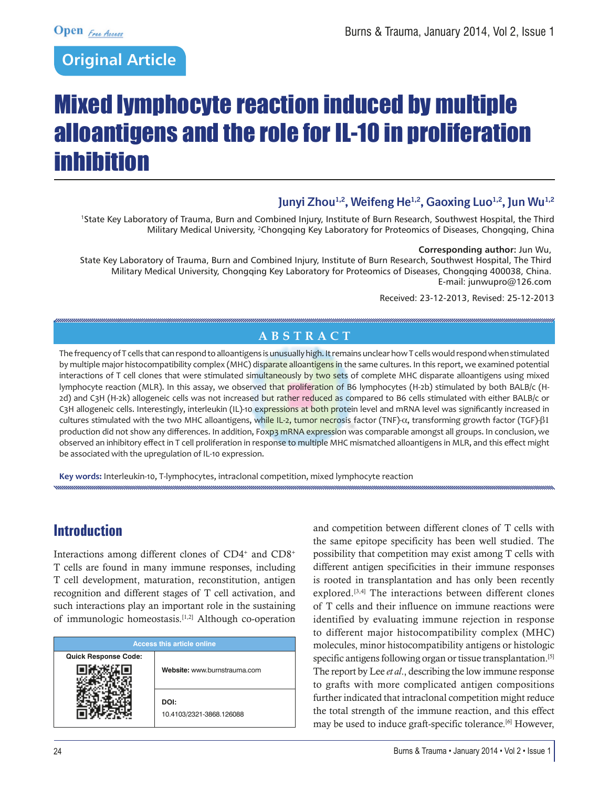## **Original Article**

# Mixed lymphocyte reaction induced by multiple alloantigens and the role for IL-10 in proliferation inhibition

## Junyi Zhou<sup>1,2</sup>, Weifeng He<sup>1,2</sup>, Gaoxing Luo<sup>1,2</sup>, Jun Wu<sup>1,2</sup>

1State Key Laboratory of Trauma, Burn and Combined Injury, Institute of Burn Research, Southwest Hospital, the Third Military Medical University, 2Chongqing Key Laboratory for Proteomics of Diseases, Chongqing, China

#### **Corresponding author:** Jun Wu,

State Key Laboratory of Trauma, Burn and Combined Injury, Institute of Burn Research, Southwest Hospital, The Third Military Medical University, Chongqing Key Laboratory for Proteomics of Diseases, Chongqing 400038, China. E-mail: junwupro@126.com

Received: 23-12-2013, Revised: 25-12-2013

## **ABSTRACT**

The frequency of T cells that can respond to alloantigens is unusually high. It remains unclear how T cells would respond when stimulated by multiple major histocompatibility complex (MHC) disparate alloantigens in the same cultures. In this report, we examined potential interactions of T cell clones that were stimulated simultaneously by two sets of complete MHC disparate alloantigens using mixed lymphocyte reaction (MLR). In this assay, we observed that proliferation of B6 lymphocytes (H-2b) stimulated by both BALB/c (H-2d) and C3H (H-2k) allogeneic cells was not increased but rather reduced as compared to B6 cells stimulated with either BALB/c or C3H allogeneic cells. Interestingly, interleukin (IL)-10 expressions at both protein level and mRNA level was significantly increased in cultures stimulated with the two MHC alloantigens, while IL-2, tumor necrosis factor (TNF)-α, transforming growth factor (TGF)-β1 production did not show any differences. In addition, Foxp3 mRNA expression was comparable amongst all groups. In conclusion, we observed an inhibitory effect in T cell proliferation in response to multiple MHC mismatched alloantigens in MLR, and this effect might be associated with the upregulation of IL-10 expression.

**Key words:** Interleukin-10, T-lymphocytes, intraclonal competition, mixed lymphocyte reaction

## **Introduction**

Interactions among different clones of CD4<sup>+</sup> and CD8<sup>+</sup> T cells are found in many immune responses, including T cell development, maturation, reconstitution, antigen recognition and different stages of T cell activation, and such interactions play an important role in the sustaining of immunologic homeostasis.[1,2] Although co-operation

| <b>Access this article online</b> |                                  |
|-----------------------------------|----------------------------------|
| <b>Quick Response Code:</b>       |                                  |
|                                   | Website: www.burnstrauma.com     |
|                                   | DOI:<br>10.4103/2321-3868.126088 |

and competition between different clones of T cells with the same epitope specificity has been well studied. The possibility that competition may exist among T cells with different antigen specificities in their immune responses is rooted in transplantation and has only been recently explored.[3,4] The interactions between different clones of T cells and their influence on immune reactions were identified by evaluating immune rejection in response to different major histocompatibility complex (MHC) molecules, minor histocompatibility antigens or histologic specific antigens following organ or tissue transplantation.<sup>[5]</sup> The report by Lee *et al*., describing the low immune response to grafts with more complicated antigen compositions further indicated that intraclonal competition might reduce the total strength of the immune reaction, and this effect may be used to induce graft-specific tolerance.[6] However,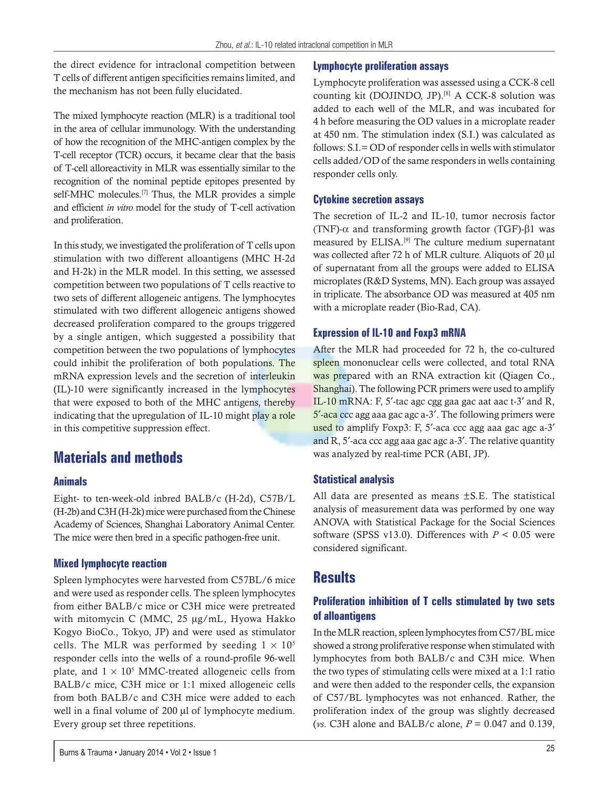the direct evidence for intraclonal competition between T cells of different antigen specificities remains limited, and the mechanism has not been fully elucidated.

The mixed lymphocyte reaction (MLR) is a traditional tool in the area of cellular immunology. With the understanding of how the recognition of the MHC-antigen complex by the T-cell receptor (TCR) occurs, it became clear that the basis of T-cell alloreactivity in MLR was essentially similar to the recognition of the nominal peptide epitopes presented by self-MHC molecules.<sup>[7]</sup> Thus, the MLR provides a simple and efficient *in vitro* model for the study of T-cell activation and proliferation.

In this study, we investigated the proliferation of T cells upon stimulation with two different alloantigens (MHC H-2d and H-2k) in the MLR model. In this setting, we assessed competition between two populations of T cells reactive to two sets of different allogeneic antigens. The lymphocytes stimulated with two different allogeneic antigens showed decreased proliferation compared to the groups triggered by a single antigen, which suggested a possibility that competition between the two populations of lymphocytes could inhibit the proliferation of both populations. The mRNA expression levels and the secretion of interleukin (IL)-10 were significantly increased in the lymphocytes that were exposed to both of the MHC antigens, thereby indicating that the upregulation of IL-10 might play a role in this competitive suppression effect.

## **Materials and methods**

#### **Animals**

Eight- to ten-week-old inbred BALB/c (H-2d), C57B/L (H-2b) and C3H (H-2k) mice were purchased from the Chinese Academy of Sciences, Shanghai Laboratory Animal Center. The mice were then bred in a specific pathogen-free unit.

#### **Mixed lymphocyte reaction**

Spleen lymphocytes were harvested from C57BL/6 mice and were used as responder cells. The spleen lymphocytes from either BALB/c mice or C3H mice were pretreated with mitomycin C (MMC, 25 μg/mL, Hyowa Hakko Kogyo BioCo., Tokyo, JP) and were used as stimulator cells. The MLR was performed by seeding  $1 \times 10^5$ responder cells into the wells of a round-profile 96-well plate, and  $1 \times 10^5$  MMC-treated allogeneic cells from BALB/c mice, C3H mice or 1:1 mixed allogeneic cells from both BALB/c and C3H mice were added to each well in a final volume of 200 μl of lymphocyte medium. Every group set three repetitions.

Lymphocyte proliferation was assessed using a CCK-8 cell counting kit (DOJINDO, JP).<sup>[8]</sup> A CCK-8 solution was added to each well of the MLR, and was incubated for 4 h before measuring the OD values in a microplate reader at 450 nm. The stimulation index (S.I.) was calculated as follows: S.I.= OD of responder cells in wells with stimulator cells added/OD of the same responders in wells containing responder cells only.

#### **Cytokine secretion assays**

The secretion of IL-2 and IL-10, tumor necrosis factor (ΤΝF)-α and transforming growth factor (ΤGF)-β1 was measured by ELISA.[9] The culture medium supernatant was collected after 72 h of MLR culture. Aliquots of 20 μl of supernatant from all the groups were added to ELISA microplates (R&D Systems, MN). Each group was assayed in triplicate. The absorbance OD was measured at 405 nm with a microplate reader (Bio-Rad, CA).

#### **Expression of IL-10 and Foxp3 mRNA**

After the MLR had proceeded for 72 h, the co-cultured spleen mononuclear cells were collected, and total RNA was prepared with an RNA extraction kit (Qiagen Co., Shanghai). The following PCR primers were used to amplify IL-10 mRNA: F, 5′-tac agc cgg gaa gac aat aac t-3′ and R, 5′-aca ccc agg aaa gac agc a-3′. The following primers were used to amplify Foxp3: F, 5'-aca ccc agg aaa gac agc a-3' and R, 5′-aca ccc agg aaa gac agc a-3′. The relative quantity was analyzed by real-time PCR (ABI, JP).

#### **Statistical analysis**

All data are presented as means ±S.E. The statistical analysis of measurement data was performed by one way ANOVA with Statistical Package for the Social Sciences software (SPSS v13.0). Differences with *P* < 0.05 were considered significant.

## **Results**

#### **Proliferation inhibition of T cells stimulated by two sets of alloantigens**

In the MLR reaction, spleen lymphocytes from C57/BL mice showed a strong proliferative response when stimulated with lymphocytes from both BALB/c and C3H mice. When the two types of stimulating cells were mixed at a 1:1 ratio and were then added to the responder cells, the expansion of C57/BL lymphocytes was not enhanced. Rather, the proliferation index of the group was slightly decreased (*vs*. C3H alone and BALB/c alone, *P* = 0.047 and 0.139,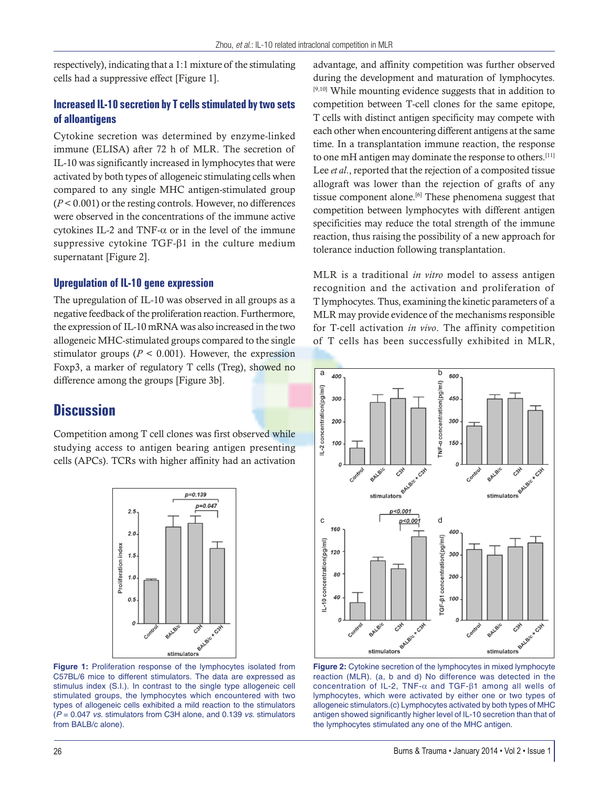respectively), indicating that a 1:1 mixture of the stimulating cells had a suppressive effect [Figure 1].

#### **Increased IL-10 secretion by T cells stimulated by two sets of alloantigens**

Cytokine secretion was determined by enzyme-linked immune (ELISA) after 72 h of MLR. The secretion of IL-10 was significantly increased in lymphocytes that were activated by both types of allogeneic stimulating cells when compared to any single MHC antigen-stimulated group (*P* < 0.001) or the resting controls. However, no differences were observed in the concentrations of the immune active cytokines IL-2 and TNF- $\alpha$  or in the level of the immune suppressive cytokine TGF-β1 in the culture medium supernatant [Figure 2].

#### **Upregulation of IL-10 gene expression**

The upregulation of IL-10 was observed in all groups as a negative feedback of the proliferation reaction. Furthermore, the expression of IL-10 mRNA was also increased in the two allogeneic MHC-stimulated groups compared to the single stimulator groups ( $P < 0.001$ ). However, the expression Foxp3, a marker of regulatory T cells (Treg), showed no difference among the groups [Figure 3b].

## **Discussion**

Competition among T cell clones was first observed while studying access to antigen bearing antigen presenting cells (APCs). TCRs with higher affinity had an activation



**Figure 1:** Proliferation response of the lymphocytes isolated from C57BL/6 mice to different stimulators. The data are expressed as stimulus index (S.I.). In contrast to the single type allogeneic cell stimulated groups, the lymphocytes which encountered with two types of allogeneic cells exhibited a mild reaction to the stimulators (*P* = 0.047 *vs*. stimulators from C3H alone, and 0.139 *vs*. stimulators from BALB/c alone).

advantage, and affinity competition was further observed during the development and maturation of lymphocytes. [9,10] While mounting evidence suggests that in addition to competition between T-cell clones for the same epitope, T cells with distinct antigen specificity may compete with each other when encountering different antigens at the same time. In a transplantation immune reaction, the response to one mH antigen may dominate the response to others. [11] Lee *et al*., reported that the rejection of a composited tissue allograft was lower than the rejection of grafts of any tissue component alone.<sup>[6]</sup> These phenomena suggest that competition between lymphocytes with different antigen specificities may reduce the total strength of the immune reaction, thus raising the possibility of a new approach for tolerance induction following transplantation.

MLR is a traditional *in vitro* model to assess antigen recognition and the activation and proliferation of T lymphocytes. Thus, examining the kinetic parameters of a MLR may provide evidence of the mechanisms responsible for T-cell activation *in vivo*. The affinity competition of T cells has been successfully exhibited in MLR,



reaction (MLR). (a, b and d) No difference was detected in the concentration of IL-2, TNF-α and TGF-β1 among all wells of lymphocytes, which were activated by either one or two types of allogeneic stimulators.(c) Lymphocytes activated by both types of MHC antigen showed significantly higher level of IL-10 secretion than that of the lymphocytes stimulated any one of the MHC antigen.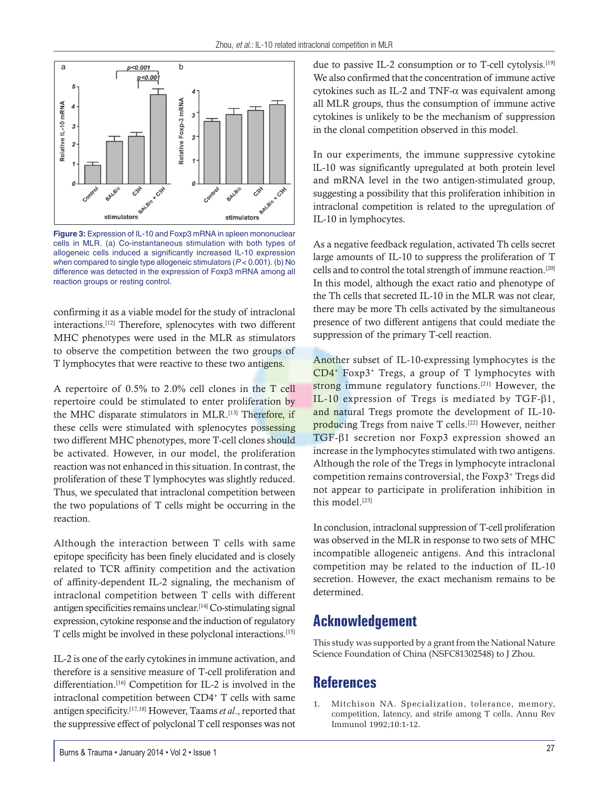

**Figure 3:** Expression of IL-10 and Foxp3 mRNA in spleen mononuclear cells in MLR. (a) Co-instantaneous stimulation with both types of allogeneic cells induced a significantly increased IL-10 expression when compared to single type allogeneic stimulators (*P* < 0.001). (b) No difference was detected in the expression of Foxp3 mRNA among all reaction groups or resting control.

confirming it as a viable model for the study of intraclonal interactions.[12] Therefore, splenocytes with two different MHC phenotypes were used in the MLR as stimulators to observe the competition between the two groups of T lymphocytes that were reactive to these two antigens.

A repertoire of 0.5% to 2.0% cell clones in the T cell repertoire could be stimulated to enter proliferation by the MHC disparate stimulators in MLR.[13] Therefore, if these cells were stimulated with splenocytes possessing two different MHC phenotypes, more T-cell clones should be activated. However, in our model, the proliferation reaction was not enhanced in this situation. In contrast, the proliferation of these T lymphocytes was slightly reduced. Thus, we speculated that intraclonal competition between the two populations of T cells might be occurring in the reaction.

Although the interaction between T cells with same epitope specificity has been finely elucidated and is closely related to TCR affinity competition and the activation of affinity-dependent IL-2 signaling, the mechanism of intraclonal competition between T cells with different antigen specificities remains unclear.[14] Co-stimulating signal expression, cytokine response and the induction of regulatory T cells might be involved in these polyclonal interactions.[15]

IL-2 is one of the early cytokines in immune activation, and therefore is a sensitive measure of T-cell proliferation and differentiation.<sup>[16]</sup> Competition for IL-2 is involved in the intraclonal competition between CD4+ T cells with same antigen specificity.[17,18] However, Taams *et al*., reported that the suppressive effect of polyclonal T cell responses was not due to passive IL-2 consumption or to T-cell cytolysis.<sup>[19]</sup> We also confirmed that the concentration of immune active cytokines such as IL-2 and TNF- $\alpha$  was equivalent among all MLR groups, thus the consumption of immune active cytokines is unlikely to be the mechanism of suppression in the clonal competition observed in this model.

In our experiments, the immune suppressive cytokine lL-10 was significantly upregulated at both protein level and mRNA level in the two antigen-stimulated group, suggesting a possibility that this proliferation inhibition in intraclonal competition is related to the upregulation of IL-10 in lymphocytes.

As a negative feedback regulation, activated Th cells secret large amounts of IL-10 to suppress the proliferation of T cells and to control the total strength of immune reaction.[20] In this model, although the exact ratio and phenotype of the Th cells that secreted IL-10 in the MLR was not clear, there may be more Th cells activated by the simultaneous presence of two different antigens that could mediate the suppression of the primary T-cell reaction.

Another subset of IL-10-expressing lymphocytes is the CD4+ Foxp3+ Tregs, a group of T lymphocytes with strong immune regulatory functions.<sup>[21]</sup> However, the IL-10 expression of Tregs is mediated by TGF-β1, and natural Tregs promote the development of IL-10 producing Tregs from naive T cells.[22] However, neither TGF-β1 secretion nor Foxp3 expression showed an increase in the lymphocytes stimulated with two antigens. Although the role of the Tregs in lymphocyte intraclonal competition remains controversial, the Foxp3+ Tregs did not appear to participate in proliferation inhibition in this model.[23]

In conclusion, intraclonal suppression of T-cell proliferation was observed in the MLR in response to two sets of MHC incompatible allogeneic antigens. And this intraclonal competition may be related to the induction of IL-10 secretion. However, the exact mechanism remains to be determined.

## **Acknowledgement**

This study was supported by a grant from the National Nature Science Foundation of China (NSFC81302548) to J Zhou.

## **References**

1. Mitchison NA. Specialization, tolerance, memory, competition, latency, and strife among T cells. Annu Rev Immunol 1992;10:1-12.